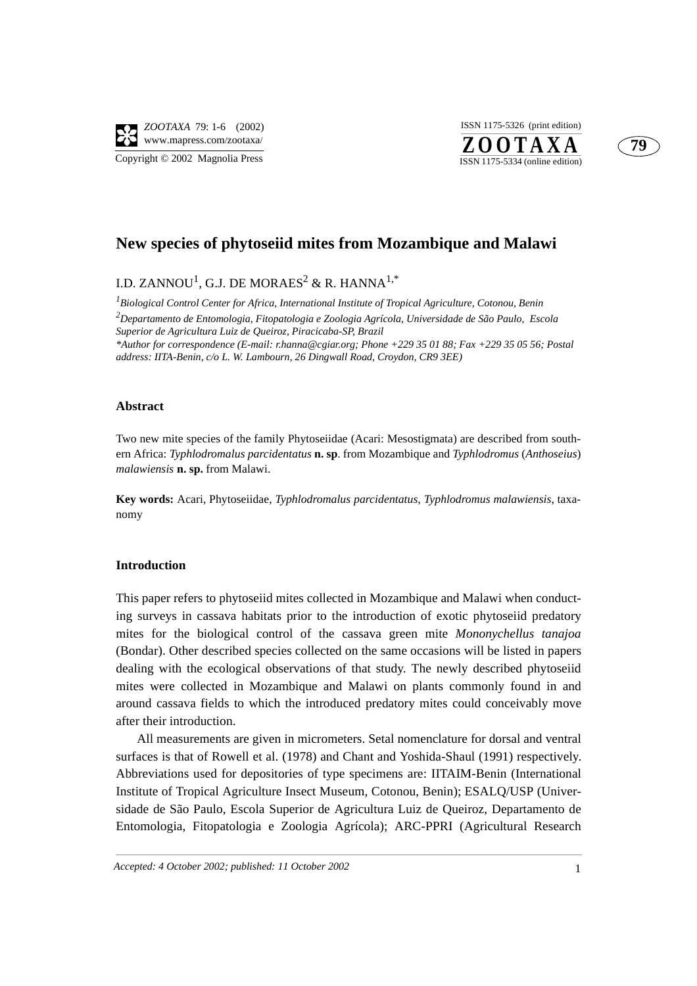$Z$ **OOTAXA** ISSN 1175-5326 (print edition)



# **New species of phytoseiid mites from Mozambique and Malawi**

I.D. ZANNOU<sup>1</sup>, G.J. DE MORAES<sup>2</sup> & R. HANNA<sup>1,\*</sup>

*1 Biological Control Center for Africa, International Institute of Tropical Agriculture, Cotonou, Benin 2 Departamento de Entomologia, Fitopatologia e Zoologia Agrícola, Universidade de São Paulo, Escola Superior de Agricultura Luiz de Queiroz, Piracicaba-SP, Brazil \*Author for correspondence (E-mail: r.hanna@cgiar.org; Phone +229 35 01 88; Fax +229 35 05 56; Postal address: IITA-Benin, c/o L. W. Lambourn, 26 Dingwall Road, Croydon, CR9 3EE)*

# **Abstract**

Two new mite species of the family Phytoseiidae (Acari: Mesostigmata) are described from southern Africa: *Typhlodromalus parcidentatus* **n. sp**. from Mozambique and *Typhlodromus* (*Anthoseius*) *malawiensis* **n. sp.** from Malawi.

**Key words:** Acari, Phytoseiidae, *Typhlodromalus parcidentatus, Typhlodromus malawiensis*, taxanomy

# **Introduction**

This paper refers to phytoseiid mites collected in Mozambique and Malawi when conducting surveys in cassava habitats prior to the introduction of exotic phytoseiid predatory mites for the biological control of the cassava green mite *Mononychellus tanajoa* (Bondar). Other described species collected on the same occasions will be listed in papers dealing with the ecological observations of that study. The newly described phytoseiid mites were collected in Mozambique and Malawi on plants commonly found in and around cassava fields to which the introduced predatory mites could conceivably move after their introduction.

All measurements are given in micrometers. Setal nomenclature for dorsal and ventral surfaces is that of Rowell et al. (1978) and Chant and Yoshida-Shaul (1991) respectively. Abbreviations used for depositories of type specimens are: IITAIM-Benin (International Institute of Tropical Agriculture Insect Museum, Cotonou, Benin); ESALQ/USP (Universidade de São Paulo, Escola Superior de Agricultura Luiz de Queiroz, Departamento de Entomologia, Fitopatologia e Zoologia Agrícola); ARC-PPRI (Agricultural Research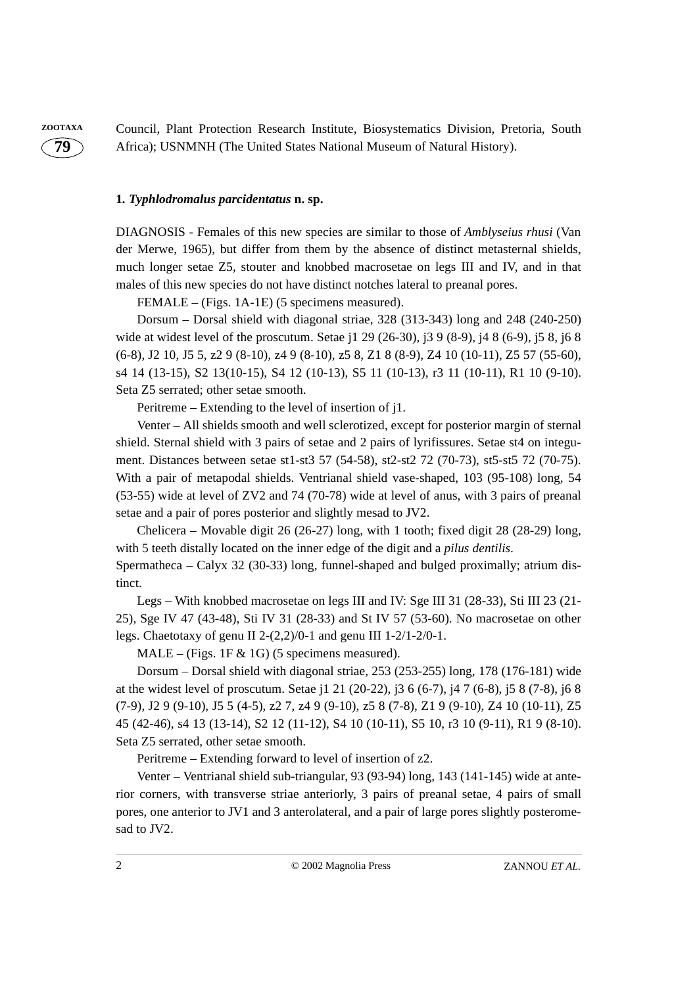**79**

**ZOOTAXA** Council, Plant Protection Research Institute, Biosystematics Division, Pretoria, South Africa); USNMNH (The United States National Museum of Natural History).

## **1***. Typhlodromalus parcidentatus* **n. sp.**

DIAGNOSIS - Females of this new species are similar to those of *Amblyseius rhusi* (Van der Merwe, 1965), but differ from them by the absence of distinct metasternal shields, much longer setae Z5, stouter and knobbed macrosetae on legs III and IV, and in that males of this new species do not have distinct notches lateral to preanal pores.

FEMALE – (Figs. 1A-1E) (5 specimens measured).

Dorsum – Dorsal shield with diagonal striae, 328 (313-343) long and 248 (240-250) wide at widest level of the proscutum. Setae j1 29 (26-30), j3 9 (8-9), j4 8 (6-9), j5 8, j6 8 (6-8), J2 10, J5 5, z2 9 (8-10), z4 9 (8-10), z5 8, Z1 8 (8-9), Z4 10 (10-11), Z5 57 (55-60), s4 14 (13-15), S2 13(10-15), S4 12 (10-13), S5 11 (10-13), r3 11 (10-11), R1 10 (9-10). Seta Z5 serrated; other setae smooth.

Peritreme – Extending to the level of insertion of j1.

Venter – All shields smooth and well sclerotized, except for posterior margin of sternal shield. Sternal shield with 3 pairs of setae and 2 pairs of lyrifissures. Setae st4 on integument. Distances between setae st1-st3 57 (54-58), st2-st2 72 (70-73), st5-st5 72 (70-75). With a pair of metapodal shields. Ventrianal shield vase-shaped, 103 (95-108) long, 54 (53-55) wide at level of ZV2 and 74 (70-78) wide at level of anus, with 3 pairs of preanal setae and a pair of pores posterior and slightly mesad to JV2.

Chelicera – Movable digit 26 (26-27) long, with 1 tooth; fixed digit 28 (28-29) long, with 5 teeth distally located on the inner edge of the digit and a *pilus dentilis*.

Spermatheca – Calyx 32 (30-33) long, funnel-shaped and bulged proximally; atrium distinct.

Legs – With knobbed macrosetae on legs III and IV: Sge III 31 (28-33), Sti III 23 (21- 25), Sge IV 47 (43-48), Sti IV 31 (28-33) and St IV 57 (53-60). No macrosetae on other legs. Chaetotaxy of genu II 2-(2,2)/0-1 and genu III 1-2/1-2/0-1.

 $MALE - (Figs. 1F & 1G)$  (5 specimens measured).

Dorsum – Dorsal shield with diagonal striae, 253 (253-255) long, 178 (176-181) wide at the widest level of proscutum. Setae j1 21 (20-22), j3 6 (6-7), j4 7 (6-8), j5 8 (7-8), j6 8 (7-9), J2 9 (9-10), J5 5 (4-5), z2 7, z4 9 (9-10), z5 8 (7-8), Z1 9 (9-10), Z4 10 (10-11), Z5 45 (42-46), s4 13 (13-14), S2 12 (11-12), S4 10 (10-11), S5 10, r3 10 (9-11), R1 9 (8-10). Seta Z5 serrated, other setae smooth.

Peritreme – Extending forward to level of insertion of z2.

Venter – Ventrianal shield sub-triangular, 93 (93-94) long, 143 (141-145) wide at anterior corners, with transverse striae anteriorly, 3 pairs of preanal setae, 4 pairs of small pores, one anterior to JV1 and 3 anterolateral, and a pair of large pores slightly posteromesad to JV2.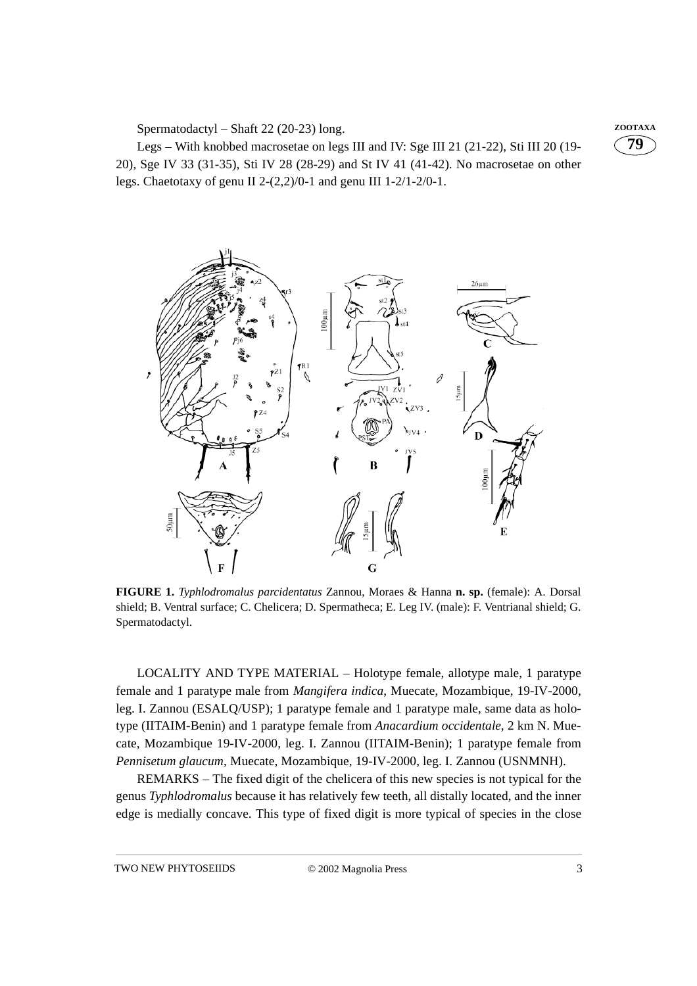Spermatodactyl – Shaft 22 (20-23) long. **ZOOTAXA** 

Legs – With knobbed macrosetae on legs III and IV: Sge III 21 (21-22), Sti III 20 (19- 20), Sge IV 33 (31-35), Sti IV 28 (28-29) and St IV 41 (41-42). No macrosetae on other legs. Chaetotaxy of genu II 2-(2,2)/0-1 and genu III 1-2/1-2/0-1.





**FIGURE 1.** *Typhlodromalus parcidentatus* Zannou, Moraes & Hanna **n. sp.** (female): A. Dorsal shield; B. Ventral surface; C. Chelicera; D. Spermatheca; E. Leg IV. (male): F. Ventrianal shield; G. Spermatodactyl.

LOCALITY AND TYPE MATERIAL – Holotype female, allotype male, 1 paratype female and 1 paratype male from *Mangifera indica*, Muecate, Mozambique, 19-IV-2000, leg. I. Zannou (ESALQ/USP); 1 paratype female and 1 paratype male, same data as holotype (IITAIM-Benin) and 1 paratype female from *Anacardium occidentale*, 2 km N. Muecate, Mozambique 19-IV-2000, leg. I. Zannou (IITAIM-Benin); 1 paratype female from *Pennisetum glaucum*, Muecate, Mozambique, 19-IV-2000, leg. I. Zannou (USNMNH).

REMARKS – The fixed digit of the chelicera of this new species is not typical for the genus *Typhlodromalus* because it has relatively few teeth, all distally located, and the inner edge is medially concave. This type of fixed digit is more typical of species in the close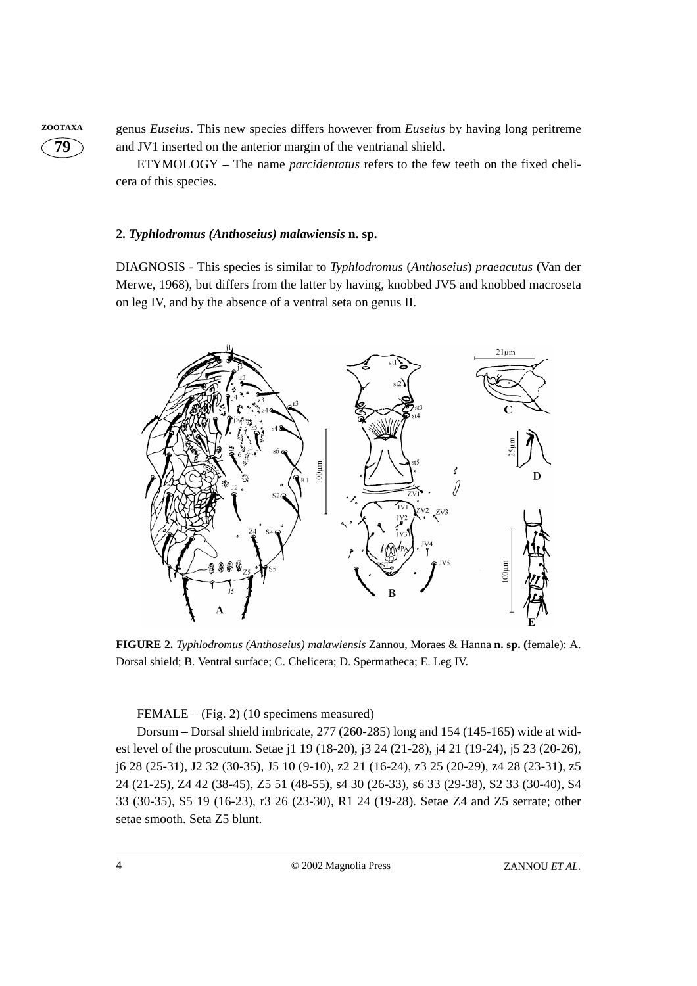

**ZOOTAXA** genus *Euseius*. This new species differs however from *Euseius* by having long peritreme and JV1 inserted on the anterior margin of the ventrianal shield.

> ETYMOLOGY – The name *parcidentatus* refers to the few teeth on the fixed chelicera of this species.

## **2.** *Typhlodromus (Anthoseius) malawiensis* **n. sp.**

DIAGNOSIS - This species is similar to *Typhlodromus* (*Anthoseius*) *praeacutus* (Van der Merwe, 1968), but differs from the latter by having, knobbed JV5 and knobbed macroseta on leg IV, and by the absence of a ventral seta on genus II.



**FIGURE 2.** *Typhlodromus (Anthoseius) malawiensis* Zannou, Moraes & Hanna **n. sp. (**female): A. Dorsal shield; B. Ventral surface; C. Chelicera; D. Spermatheca; E. Leg IV.

FEMALE – (Fig. 2) (10 specimens measured)

Dorsum – Dorsal shield imbricate, 277 (260-285) long and 154 (145-165) wide at widest level of the proscutum. Setae j1 19 (18-20), j3 24 (21-28), j4 21 (19-24), j5 23 (20-26), j6 28 (25-31), J2 32 (30-35), J5 10 (9-10), z2 21 (16-24), z3 25 (20-29), z4 28 (23-31), z5 24 (21-25), Z4 42 (38-45), Z5 51 (48-55), s4 30 (26-33), s6 33 (29-38), S2 33 (30-40), S4 33 (30-35), S5 19 (16-23), r3 26 (23-30), R1 24 (19-28). Setae Z4 and Z5 serrate; other setae smooth. Seta Z5 blunt.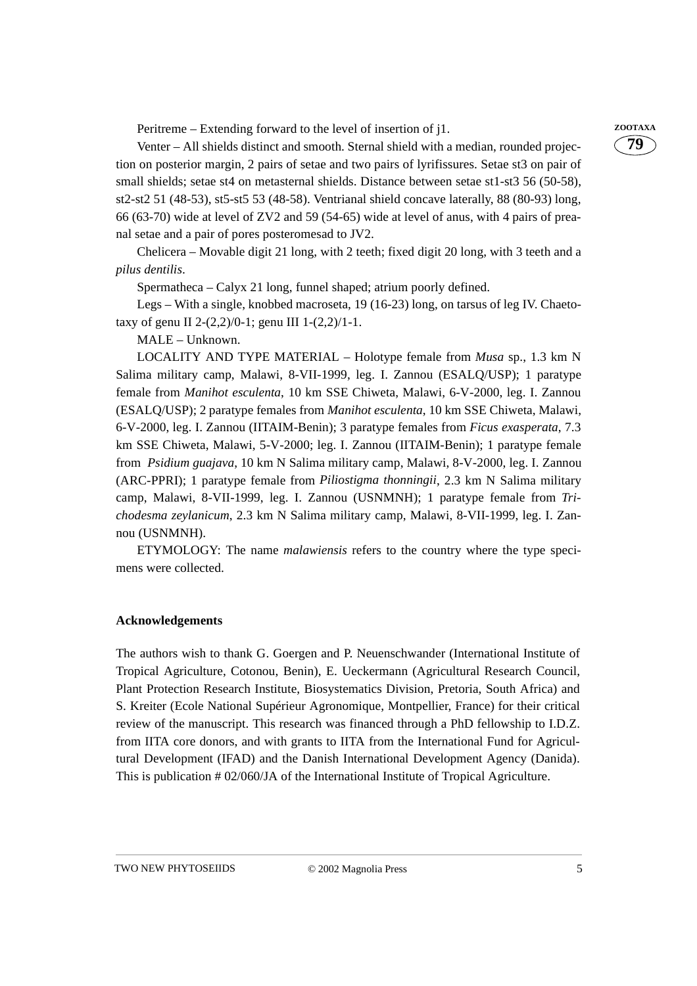Peritreme – Extending forward to the level of insertion of j1. **ZOOTAXA** 

Venter – All shields distinct and smooth. Sternal shield with a median, rounded projection on posterior margin, 2 pairs of setae and two pairs of lyrifissures. Setae st3 on pair of small shields; setae st4 on metasternal shields. Distance between setae st1-st3 56 (50-58), st2-st2 51 (48-53), st5-st5 53 (48-58). Ventrianal shield concave laterally, 88 (80-93) long, 66 (63-70) wide at level of ZV2 and 59 (54-65) wide at level of anus, with 4 pairs of preanal setae and a pair of pores posteromesad to JV2.

Chelicera – Movable digit 21 long, with 2 teeth; fixed digit 20 long, with 3 teeth and a *pilus dentilis*.

Spermatheca – Calyx 21 long, funnel shaped; atrium poorly defined.

Legs – With a single, knobbed macroseta, 19 (16-23) long, on tarsus of leg IV. Chaetotaxy of genu II 2-(2,2)/0-1; genu III 1-(2,2)/1-1.

MALE – Unknown.

LOCALITY AND TYPE MATERIAL – Holotype female from *Musa* sp., 1.3 km N Salima military camp, Malawi, 8-VII-1999, leg. I. Zannou (ESALQ/USP); 1 paratype female from *Manihot esculenta*, 10 km SSE Chiweta, Malawi, 6-V-2000, leg. I. Zannou (ESALQ/USP); 2 paratype females from *Manihot esculenta*, 10 km SSE Chiweta, Malawi, 6-V-2000, leg. I. Zannou (IITAIM-Benin); 3 paratype females from *Ficus exasperata*, 7.3 km SSE Chiweta, Malawi, 5-V-2000; leg. I. Zannou (IITAIM-Benin); 1 paratype female from *Psidium guajava*, 10 km N Salima military camp, Malawi, 8-V-2000, leg. I. Zannou (ARC-PPRI); 1 paratype female from *Piliostigma thonningii*, 2.3 km N Salima military camp, Malawi, 8-VII-1999, leg. I. Zannou (USNMNH); 1 paratype female from *Trichodesma zeylanicum*, 2.3 km N Salima military camp, Malawi, 8-VII-1999, leg. I. Zannou (USNMNH).

ETYMOLOGY: The name *malawiensis* refers to the country where the type specimens were collected.

## **Acknowledgements**

The authors wish to thank G. Goergen and P. Neuenschwander (International Institute of Tropical Agriculture, Cotonou, Benin), E. Ueckermann (Agricultural Research Council, Plant Protection Research Institute, Biosystematics Division, Pretoria, South Africa) and S. Kreiter (Ecole National Supérieur Agronomique, Montpellier, France) for their critical review of the manuscript. This research was financed through a PhD fellowship to I.D.Z. from IITA core donors, and with grants to IITA from the International Fund for Agricultural Development (IFAD) and the Danish International Development Agency (Danida). This is publication # 02/060/JA of the International Institute of Tropical Agriculture.